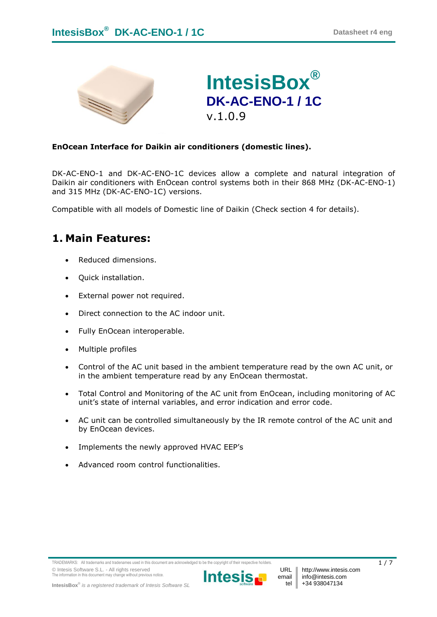



### **EnOcean Interface for Daikin air conditioners (domestic lines).**

DK-AC-ENO-1 and DK-AC-ENO-1C devices allow a complete and natural integration of Daikin air conditioners with EnOcean control systems both in their 868 MHz (DK-AC-ENO-1) and 315 MHz (DK-AC-ENO-1C) versions.

Compatible with all models of Domestic line of Daikin (Check section [4](#page-4-0) for details).

## **1. Main Features:**

- Reduced dimensions.
- Quick installation.
- External power not required.
- Direct connection to the AC indoor unit.
- Fully EnOcean interoperable.
- Multiple profiles
- Control of the AC unit based in the ambient temperature read by the own AC unit, or in the ambient temperature read by any EnOcean thermostat.
- Total Control and Monitoring of the AC unit from EnOcean, including monitoring of AC unit's state of internal variables, and error indication and error code.
- AC unit can be controlled simultaneously by the IR remote control of the AC unit and by EnOcean devices.
- Implements the newly approved HVAC EEP's
- Advanced room control functionalities.

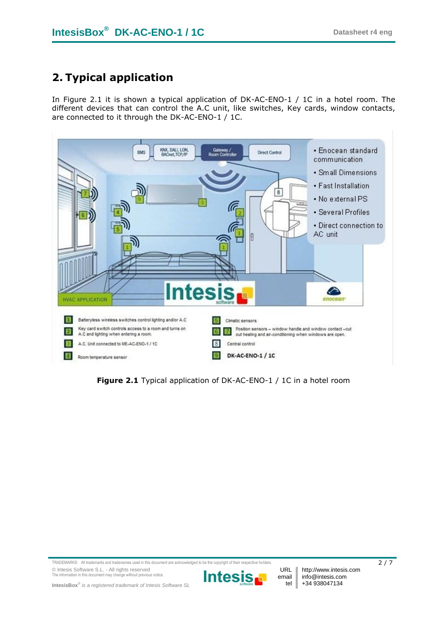# **2. Typical application**

In [Figure 2.1](#page-1-0) it is shown a typical application of DK-AC-ENO-1 / 1C in a hotel room. The different devices that can control the A.C unit, like switches, Key cards, window contacts, are connected to it through the DK-AC-ENO-1 / 1C.



<span id="page-1-0"></span>**Figure 2.1** Typical application of DK-AC-ENO-1 / 1C in a hotel room

TRADEMARKS: All trademarks and tradenames used in this document are acknowledged to be the copyright of their respective holders.  $2/7$ © Intesis Software S.L. - All rights reserved The information in this document may change without previous notice.

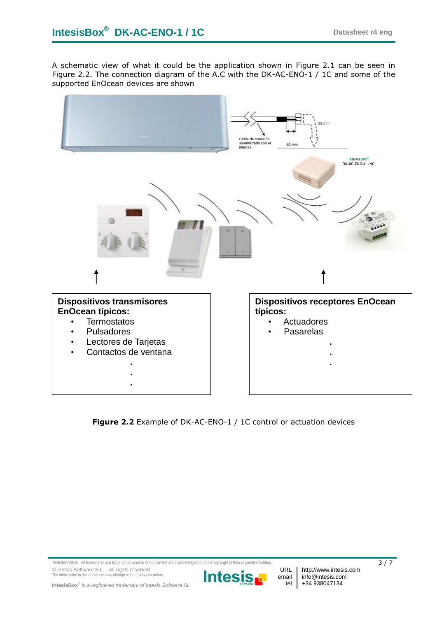A schematic view of what it could be the application shown in [Figure 2.1](#page-1-0) can be seen in [Figure 2.2.](#page-2-0) The connection diagram of the A.C with the DK-AC-ENO-1 / 1C and some of the supported EnOcean devices are shown



<span id="page-2-0"></span>**Figure 2.2** Example of DK-AC-ENO-1 / 1C control or actuation devices

TRADEMARKS: All trademarks and tradenames used in this document are acknowledged to be the copyright of their respective holders. 3 / 7 © Intesis Software S.L. - All rights reserved The information in this document may change without previous notice.

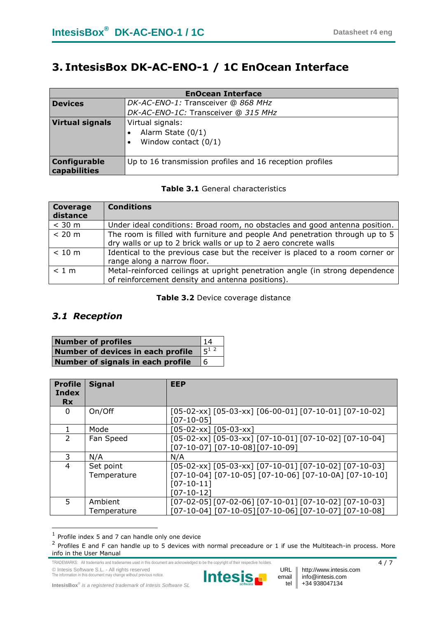## **3. IntesisBox DK-AC-ENO-1 / 1C EnOcean Interface**

| <b>EnOcean Interface</b>            |                                                                   |
|-------------------------------------|-------------------------------------------------------------------|
| <b>Devices</b>                      | DK-AC-ENO-1: Transceiver @ 868 MHz                                |
|                                     | DK-AC-ENO-1C: Transceiver @ 315 MHz                               |
| <b>Virtual signals</b>              | Virtual signals:<br>Alarm State $(0/1)$<br>Window contact $(0/1)$ |
| <b>Configurable</b><br>capabilities | Up to 16 transmission profiles and 16 reception profiles          |

#### **Table 3.1** General characteristics

| Coverage<br>distance | <b>Conditions</b>                                                                                                                               |
|----------------------|-------------------------------------------------------------------------------------------------------------------------------------------------|
| $<$ 30 m             | Under ideal conditions: Broad room, no obstacles and good antenna position.                                                                     |
| < 20 m               | The room is filled with furniture and people And penetration through up to 5<br>dry walls or up to 2 brick walls or up to 2 aero concrete walls |
| < 10 m               | Identical to the previous case but the receiver is placed to a room corner or<br>range along a narrow floor.                                    |
| < 1 m                | Metal-reinforced ceilings at upright penetration angle (in strong dependence<br>of reinforcement density and antenna positions).                |

#### **Table 3.2** Device coverage distance

### *3.1 Reception*

| <b>Number of profiles</b>         | 14      |
|-----------------------------------|---------|
| Number of devices in each profile | $5^{1}$ |
| Number of signals in each profile | 6       |

| <b>Profile</b><br>Index<br><b>Rx</b> | <b>Signal</b>            | <b>EEP</b>                                                                                                                                               |
|--------------------------------------|--------------------------|----------------------------------------------------------------------------------------------------------------------------------------------------------|
| 0                                    | On/Off                   | $[05-02-xx]$ $[05-03-xx]$ $[06-00-01]$ $[07-10-01]$ $[07-10-02]$<br>07-10-05 <sup>-</sup>                                                                |
|                                      | Mode                     | $[05-02-xx]$ $[05-03-xx]$                                                                                                                                |
| $\mathcal{P}$                        | Fan Speed                | $[05-02-xx]$ $[05-03-xx]$ $[07-10-01]$ $[07-10-02]$ $[07-10-04]$<br>[07-10-07] [07-10-08] [07-10-09]                                                     |
|                                      | N/A                      | N/A                                                                                                                                                      |
| 4                                    | Set point<br>Temperature | $[05-02-xx]$ $[05-03-xx]$ $[07-10-01]$ $[07-10-02]$ $[07-10-03]$<br>[07-10-04] [07-10-05] [07-10-06] [07-10-0A] [07-10-10]<br>$[07-10-11]$<br>[07-10-12] |
| 5.                                   | Ambient<br>Temperature   | $[07-02-05][07-02-06][07-10-01][07-10-02][07-10-03]$<br>[07-10-04] [07-10-05][07-10-06] [07-10-07] [07-10-08]                                            |

 1 Profile index 5 and 7 can handle only one device

TRADEMARKS: All trademarks and tradenames used in this document are acknowledged to be the copyright of their respective holders. 4 / 7 7





 $^2$  Profiles E and F can handle up to 5 devices with normal preceadure or 1 if use the Multiteach-in process. More info in the User Manual

**IntesisBox**® *is a registered trademark of Intesis Software SL*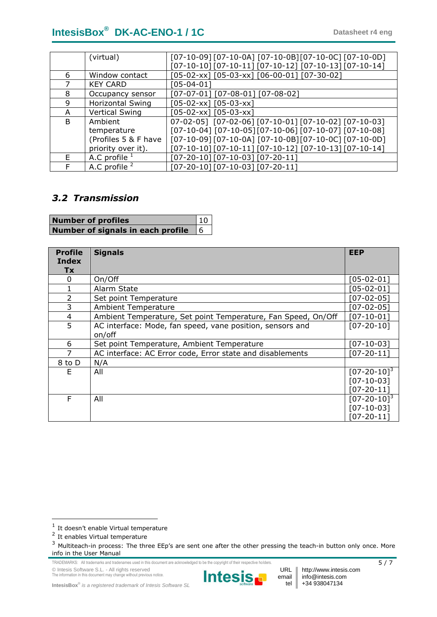# **IntesisBox**<sup>®</sup> **DK-AC-ENO-1 / 1C Datasheet r4 eng**

|    | (virtual)               | $[07-10-09]$ $[07-10-0A]$ $[07-10-0B]$ $[07-10-0C]$ $[07-10-0D]$ |
|----|-------------------------|------------------------------------------------------------------|
|    |                         | $[07-10-10]$ $[07-10-11]$ $[07-10-12]$ $[07-10-13]$ $[07-10-14]$ |
| 6  | Window contact          | $[05-02-xx]$ $[05-03-xx]$ $[06-00-01]$ $[07-30-02]$              |
|    | <b>KEY CARD</b>         | [05-04-01]                                                       |
| 8  | Occupancy sensor        | $[07-07-01]$ $[07-08-01]$ $[07-08-02]$                           |
| 9  | <b>Horizontal Swing</b> | $[05-02-xx]$ $[05-03-xx]$                                        |
| A  | <b>Vertical Swing</b>   | $[05-02-xx]$ $[05-03-xx]$                                        |
| B. | Ambient                 | 07-02-05] [07-02-06] [07-10-01] [07-10-02] [07-10-03]            |
|    | temperature             | [07-10-04] [07-10-05] [07-10-06] [07-10-07] [07-10-08]           |
|    | (Profiles 5 & F have    | $[07-10-09]$ $[07-10-0A]$ $[07-10-0B]$ $[07-10-0C]$ $[07-10-0D]$ |
|    | priority over it).      | [07-10-10] [07-10-11] [07-10-12] [07-10-13] [07-10-14]           |
| E. | A.C profile $1$         | $[07-20-10][07-10-03][07-20-11]$                                 |
| F  | A.C profile $2$         | [07-20-10] [07-10-03] [07-20-11]                                 |

### *3.2 Transmission*

| <b>Number of profiles</b>                | $\vert$ 10 $\vert$ |
|------------------------------------------|--------------------|
| Number of signals in each profile $\,$ 6 |                    |

| <b>Profile</b><br>Index<br><b>Tx</b> | <b>Signals</b>                                                      | <b>EEP</b>                                                        |
|--------------------------------------|---------------------------------------------------------------------|-------------------------------------------------------------------|
| 0                                    | On/Off                                                              | [05-02-01]                                                        |
|                                      | Alarm State                                                         | [05-02-01]                                                        |
| 2                                    | Set point Temperature                                               | $[07-02-05]$                                                      |
| 3                                    | <b>Ambient Temperature</b>                                          | $[07-02-05]$                                                      |
| 4                                    | Ambient Temperature, Set point Temperature, Fan Speed, On/Off       | $[07-10-01]$                                                      |
| 5                                    | AC interface: Mode, fan speed, vane position, sensors and<br>on/off | $[07 - 20 - 10]$                                                  |
| 6                                    | Set point Temperature, Ambient Temperature                          | $[07 - 10 - 03]$                                                  |
| 7                                    | AC interface: AC Error code, Error state and disablements           | $[07 - 20 - 11]$                                                  |
| 8 to D                               | N/A                                                                 |                                                                   |
| E.                                   | All                                                                 | $[07 - 20 - 10]$ <sup>3</sup><br>$[07-10-03]$<br>$[07 - 20 - 11]$ |
| F                                    | All                                                                 | $[07 - 20 - 10]$ <sup>3</sup><br>$[07-10-03]$<br>$[07 - 20 - 11]$ |

<span id="page-4-0"></span>-

© Intesis Software S.L. - All rights reserved The information in this document may change without previous notice.



URL | http://www.intesis.com info@intesis.com +34 938047134

email tel

**IntesisBox**® *is a registered trademark of Intesis Software SL*

 $<sup>1</sup>$  It doesn't enable Virtual temperature</sup>

<sup>&</sup>lt;sup>2</sup> It enables Virtual temperature

<sup>&</sup>lt;sup>3</sup> Multiteach-in process: The three EEp's are sent one after the other pressing the teach-in button only once. More info in the User Manual

TRADEMARKS: All trademarks and tradenames used in this document are acknowledged to be the copyright of their respective holders. 5 / 7 7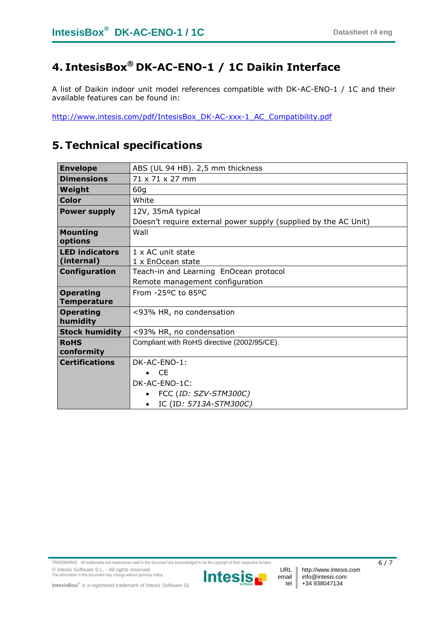# **4. IntesisBox® DK-AC-ENO-1 / 1C Daikin Interface**

A list of Daikin indoor unit model references compatible with DK-AC-ENO-1 / 1C and their available features can be found in:

[http://www.intesis.com/pdf/IntesisBox\\_DK-AC-xxx-1\\_AC\\_Compatibility.pdf](http://www.intesis.com/pdf/IntesisBox_DK-AC-xxx-1_AC_Compatibility.pdf)

# **5. Technical specifications**

| <b>Envelope</b>       | ABS (UL 94 HB). 2,5 mm thickness                                |  |
|-----------------------|-----------------------------------------------------------------|--|
| <b>Dimensions</b>     | 71 x 71 x 27 mm                                                 |  |
| Weight                | 60g                                                             |  |
| <b>Color</b>          | White                                                           |  |
| <b>Power supply</b>   | 12V, 35mA typical                                               |  |
|                       | Doesn't require external power supply (supplied by the AC Unit) |  |
| <b>Mounting</b>       | Wall                                                            |  |
| options               |                                                                 |  |
| <b>LED indicators</b> | 1 x AC unit state                                               |  |
| (internal)            | 1 x EnOcean state                                               |  |
| <b>Configuration</b>  | Teach-in and Learning EnOcean protocol                          |  |
|                       | Remote management configuration                                 |  |
| <b>Operating</b>      | From -25°C to 85°C                                              |  |
| <b>Temperature</b>    |                                                                 |  |
| <b>Operating</b>      | <93% HR, no condensation                                        |  |
| humidity              |                                                                 |  |
| <b>Stock humidity</b> | <93% HR, no condensation                                        |  |
| <b>RoHS</b>           | Compliant with RoHS directive (2002/95/CE).                     |  |
| conformity            |                                                                 |  |
| <b>Certifications</b> | DK-AC-ENO-1:                                                    |  |
|                       | $\bullet$ CE                                                    |  |
|                       | DK-AC-ENO-1C:                                                   |  |
|                       | FCC (ID: SZV-STM300C)                                           |  |
|                       | IC (ID: 5713A-STM300C)                                          |  |

TRADEMARKS: All trademarks and tradenames used in this document are acknowledged to be the copyright of their respective holders. 6  $\sim$  6 / 7 © Intesis Software S.L. - All rights reserved The information in this document may change without previous notice.



email tel